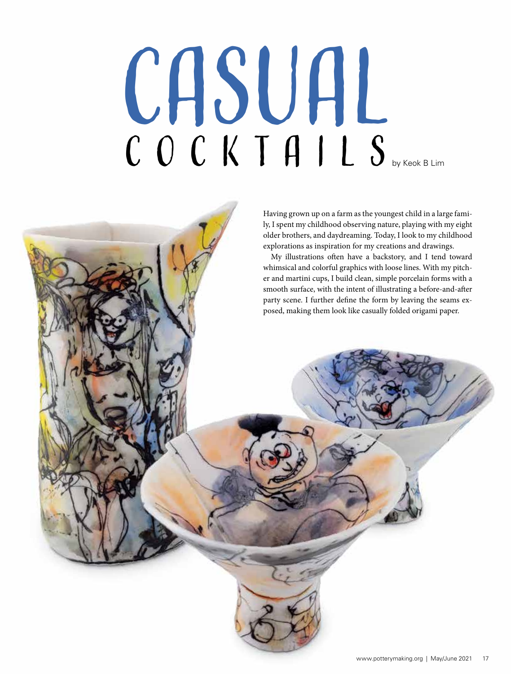# COCKTAILS CASUAL  $C$   $C$   $C$   $K$   $T$   $H$   $I$   $L$   $S$  by Keok B Lim



My illustrations often have a backstory, and I tend toward whimsical and colorful graphics with loose lines. With my pitcher and martini cups, I build clean, simple porcelain forms with a smooth surface, with the intent of illustrating a before-and-after party scene. I further define the form by leaving the seams exposed, making them look like casually folded origami paper.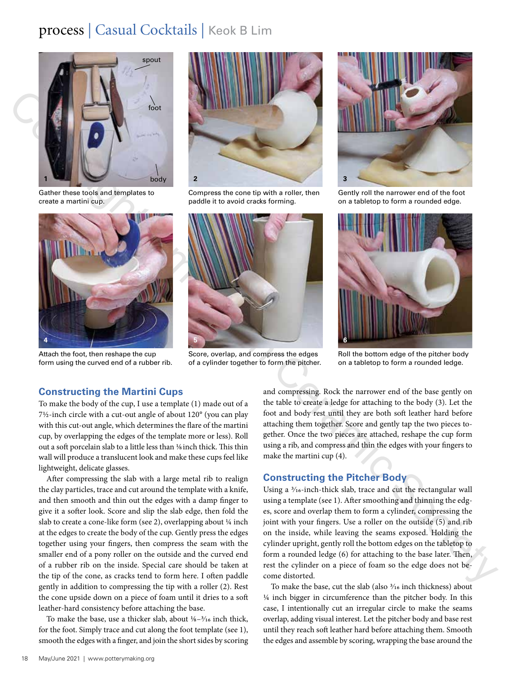# process | Casual Cocktails | Keok B Lim



Gather these tools and templates to create a martini cup.



Attach the foot, then reshape the cup form using the curved end of a rubber rib.



Compress the cone tip with a roller, then paddle it to avoid cracks forming.



Score, overlap, and compress the edges of a cylinder together to form the pitcher.



Gently roll the narrower end of the foot on a tabletop to form a rounded edge.



Roll the bottom edge of the pitcher body on a tabletop to form a rounded ledge.

# **Constructing the Martini Cups**

To make the body of the cup, I use a template (1) made out of a 7½-inch circle with a cut-out angle of about 120° (you can play with this cut-out angle, which determines the flare of the martini cup, by overlapping the edges of the template more or less). Roll out a soft porcelain slab to a little less than 1/8 inch thick. This thin wall will produce a translucent look and make these cups feel like lightweight, delicate glasses.

Copyright American Ceramic Society After compressing the slab with a large metal rib to realign the clay particles, trace and cut around the template with a knife, and then smooth and thin out the edges with a damp finger to give it a softer look. Score and slip the slab edge, then fold the slab to create a cone-like form (see 2), overlapping about 1/4 inch at the edges to create the body of the cup. Gently press the edges together using your fingers, then compress the seam with the smaller end of a pony roller on the outside and the curved end of a rubber rib on the inside. Special care should be taken at the tip of the cone, as cracks tend to form here. I often paddle gently in addition to compressing the tip with a roller (2). Rest the cone upside down on a piece of foam until it dries to a soft leather-hard consistency before attaching the base.

To make the base, use a thicker slab, about  $\frac{1}{8} - \frac{3}{16}$  inch thick, for the foot. Simply trace and cut along the foot template (see 1), smooth the edges with a finger, and join the short sides by scoring

and compressing. Rock the narrower end of the base gently on the table to create a ledge for attaching to the body (3). Let the foot and body rest until they are both soft leather hard before attaching them together. Score and gently tap the two pieces together. Once the two pieces are attached, reshape the cup form using a rib, and compress and thin the edges with your fingers to make the martini cup (4).

# **Constructing the Pitcher Body**

Using a 3/16-inch-thick slab, trace and cut the rectangular wall using a template (see 1). After smoothing and thinning the edges, score and overlap them to form a cylinder, compressing the joint with your fingers. Use a roller on the outside (5) and rib on the inside, while leaving the seams exposed. Holding the cylinder upright, gently roll the bottom edges on the tabletop to form a rounded ledge (6) for attaching to the base later. Then, rest the cylinder on a piece of foam so the edge does not become distorted.

To make the base, cut the slab (also 3/16 inch thickness) about 1/4 inch bigger in circumference than the pitcher body. In this case, I intentionally cut an irregular circle to make the seams overlap, adding visual interest. Let the pitcher body and base rest until they reach soft leather hard before attaching them. Smooth the edges and assemble by scoring, wrapping the base around the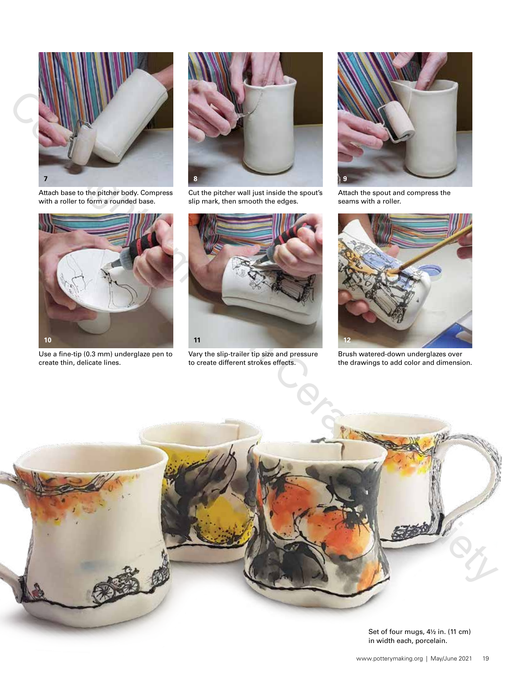

Attach base to the pitcher body. Compress with a roller to form a rounded base.



Use a fine-tip (0.3 mm) underglaze pen to create thin, delicate lines.



Cut the pitcher wall just inside the spout's slip mark, then smooth the edges.



Vary the slip-trailer tip size and pressure to create different strokes effects.



Attach the spout and compress the seams with a roller.



Brush watered-down underglazes over the drawings to add color and dimension.



Set of four mugs, 4½ in. (11 cm) in width each, porcelain.